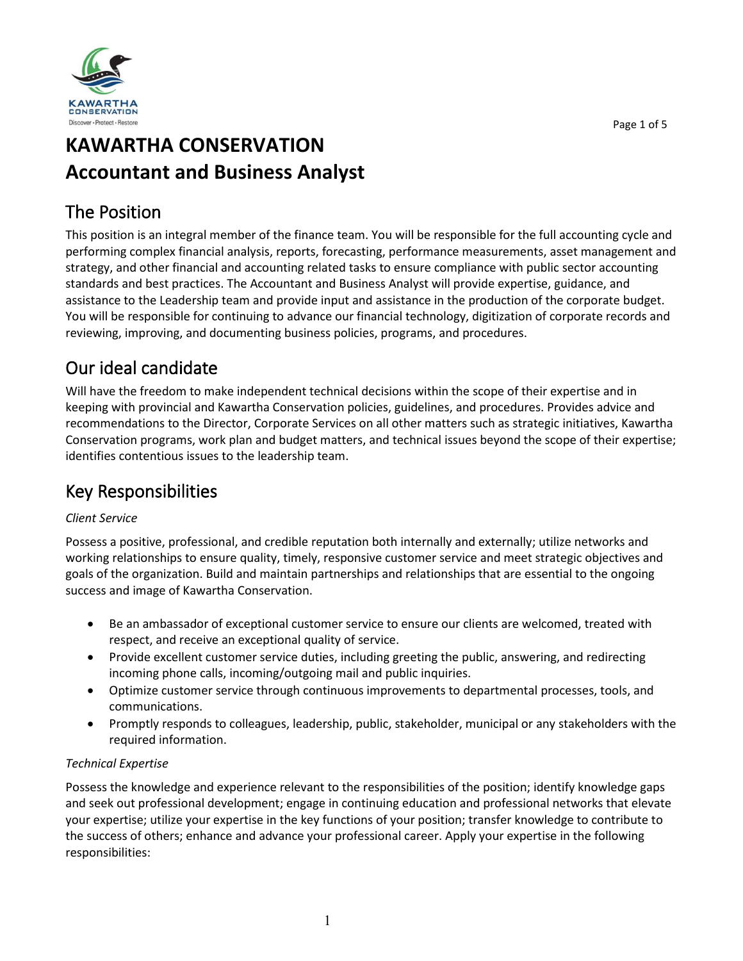

# **KAWARTHA CONSERVATION Accountant and Business Analyst**

## The Position

This position is an integral member of the finance team. You will be responsible for the full accounting cycle and performing complex financial analysis, reports, forecasting, performance measurements, asset management and strategy, and other financial and accounting related tasks to ensure compliance with public sector accounting standards and best practices. The Accountant and Business Analyst will provide expertise, guidance, and assistance to the Leadership team and provide input and assistance in the production of the corporate budget. You will be responsible for continuing to advance our financial technology, digitization of corporate records and reviewing, improving, and documenting business policies, programs, and procedures.

# Our ideal candidate

Will have the freedom to make independent technical decisions within the scope of their expertise and in keeping with provincial and Kawartha Conservation policies, guidelines, and procedures. Provides advice and recommendations to the Director, Corporate Services on all other matters such as strategic initiatives, Kawartha Conservation programs, work plan and budget matters, and technical issues beyond the scope of their expertise; identifies contentious issues to the leadership team.

## Key Responsibilities

#### *Client Service*

Possess a positive, professional, and credible reputation both internally and externally; utilize networks and working relationships to ensure quality, timely, responsive customer service and meet strategic objectives and goals of the organization. Build and maintain partnerships and relationships that are essential to the ongoing success and image of Kawartha Conservation.

- Be an ambassador of exceptional customer service to ensure our clients are welcomed, treated with respect, and receive an exceptional quality of service.
- Provide excellent customer service duties, including greeting the public, answering, and redirecting incoming phone calls, incoming/outgoing mail and public inquiries.
- Optimize customer service through continuous improvements to departmental processes, tools, and communications.
- Promptly responds to colleagues, leadership, public, stakeholder, municipal or any stakeholders with the required information.

#### *Technical Expertise*

Possess the knowledge and experience relevant to the responsibilities of the position; identify knowledge gaps and seek out professional development; engage in continuing education and professional networks that elevate your expertise; utilize your expertise in the key functions of your position; transfer knowledge to contribute to the success of others; enhance and advance your professional career. Apply your expertise in the following responsibilities: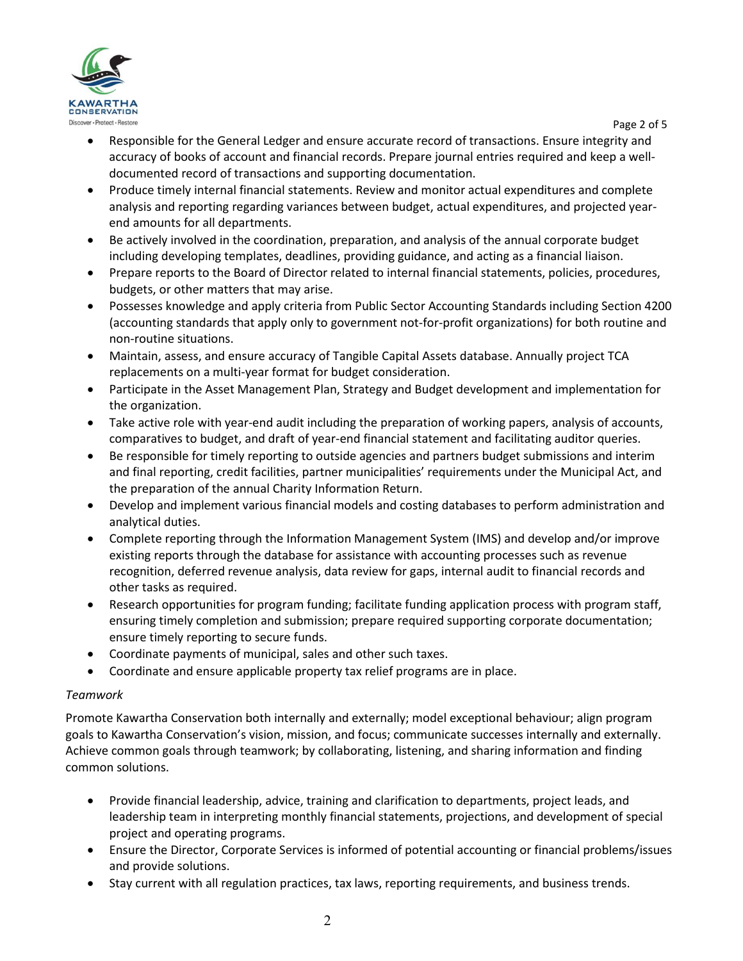

Page 2 of 5

- Responsible for the General Ledger and ensure accurate record of transactions. Ensure integrity and accuracy of books of account and financial records. Prepare journal entries required and keep a welldocumented record of transactions and supporting documentation.
- Produce timely internal financial statements. Review and monitor actual expenditures and complete analysis and reporting regarding variances between budget, actual expenditures, and projected yearend amounts for all departments.
- Be actively involved in the coordination, preparation, and analysis of the annual corporate budget including developing templates, deadlines, providing guidance, and acting as a financial liaison.
- Prepare reports to the Board of Director related to internal financial statements, policies, procedures, budgets, or other matters that may arise.
- Possesses knowledge and apply criteria from Public Sector Accounting Standards including Section 4200 (accounting standards that apply only to government not-for-profit organizations) for both routine and non-routine situations.
- Maintain, assess, and ensure accuracy of Tangible Capital Assets database. Annually project TCA replacements on a multi-year format for budget consideration.
- Participate in the Asset Management Plan, Strategy and Budget development and implementation for the organization.
- Take active role with year-end audit including the preparation of working papers, analysis of accounts, comparatives to budget, and draft of year-end financial statement and facilitating auditor queries.
- Be responsible for timely reporting to outside agencies and partners budget submissions and interim and final reporting, credit facilities, partner municipalities' requirements under the Municipal Act, and the preparation of the annual Charity Information Return.
- Develop and implement various financial models and costing databases to perform administration and analytical duties.
- Complete reporting through the Information Management System (IMS) and develop and/or improve existing reports through the database for assistance with accounting processes such as revenue recognition, deferred revenue analysis, data review for gaps, internal audit to financial records and other tasks as required.
- Research opportunities for program funding; facilitate funding application process with program staff, ensuring timely completion and submission; prepare required supporting corporate documentation; ensure timely reporting to secure funds.
- Coordinate payments of municipal, sales and other such taxes.
- Coordinate and ensure applicable property tax relief programs are in place.

#### *Teamwork*

Promote Kawartha Conservation both internally and externally; model exceptional behaviour; align program goals to Kawartha Conservation's vision, mission, and focus; communicate successes internally and externally. Achieve common goals through teamwork; by collaborating, listening, and sharing information and finding common solutions.

- Provide financial leadership, advice, training and clarification to departments, project leads, and leadership team in interpreting monthly financial statements, projections, and development of special project and operating programs.
- Ensure the Director, Corporate Services is informed of potential accounting or financial problems/issues and provide solutions.
- Stay current with all regulation practices, tax laws, reporting requirements, and business trends.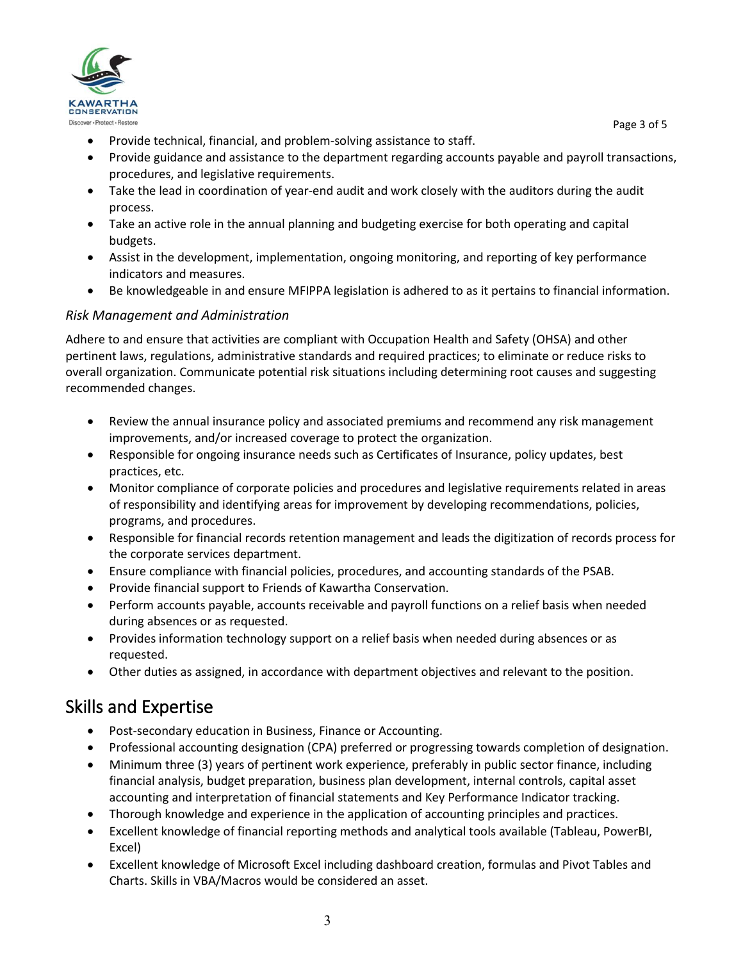

Page 3 of 5

- Provide technical, financial, and problem-solving assistance to staff.
- Provide guidance and assistance to the department regarding accounts payable and payroll transactions, procedures, and legislative requirements.
- Take the lead in coordination of year-end audit and work closely with the auditors during the audit process.
- Take an active role in the annual planning and budgeting exercise for both operating and capital budgets.
- Assist in the development, implementation, ongoing monitoring, and reporting of key performance indicators and measures.
- Be knowledgeable in and ensure MFIPPA legislation is adhered to as it pertains to financial information.

#### *Risk Management and Administration*

Adhere to and ensure that activities are compliant with Occupation Health and Safety (OHSA) and other pertinent laws, regulations, administrative standards and required practices; to eliminate or reduce risks to overall organization. Communicate potential risk situations including determining root causes and suggesting recommended changes.

- Review the annual insurance policy and associated premiums and recommend any risk management improvements, and/or increased coverage to protect the organization.
- Responsible for ongoing insurance needs such as Certificates of Insurance, policy updates, best practices, etc.
- Monitor compliance of corporate policies and procedures and legislative requirements related in areas of responsibility and identifying areas for improvement by developing recommendations, policies, programs, and procedures.
- Responsible for financial records retention management and leads the digitization of records process for the corporate services department.
- Ensure compliance with financial policies, procedures, and accounting standards of the PSAB.
- Provide financial support to Friends of Kawartha Conservation.
- Perform accounts payable, accounts receivable and payroll functions on a relief basis when needed during absences or as requested.
- Provides information technology support on a relief basis when needed during absences or as requested.
- Other duties as assigned, in accordance with department objectives and relevant to the position.

## Skills and Expertise

- Post-secondary education in Business, Finance or Accounting.
- Professional accounting designation (CPA) preferred or progressing towards completion of designation.
- Minimum three (3) years of pertinent work experience, preferably in public sector finance, including financial analysis, budget preparation, business plan development, internal controls, capital asset accounting and interpretation of financial statements and Key Performance Indicator tracking.
- Thorough knowledge and experience in the application of accounting principles and practices.
- Excellent knowledge of financial reporting methods and analytical tools available (Tableau, PowerBI, Excel)
- Excellent knowledge of Microsoft Excel including dashboard creation, formulas and Pivot Tables and Charts. Skills in VBA/Macros would be considered an asset.